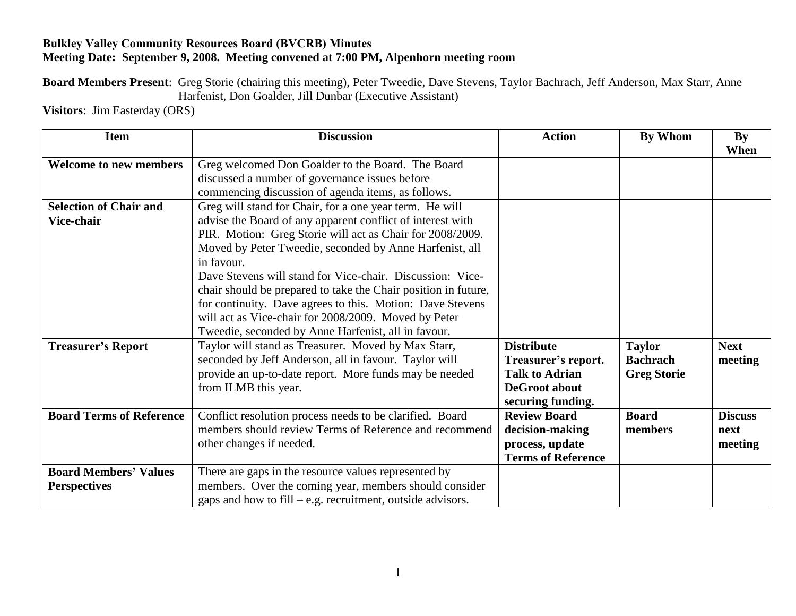## **Bulkley Valley Community Resources Board (BVCRB) Minutes Meeting Date: September 9, 2008. Meeting convened at 7:00 PM, Alpenhorn meeting room**

**Board Members Present**: Greg Storie (chairing this meeting), Peter Tweedie, Dave Stevens, Taylor Bachrach, Jeff Anderson, Max Starr, Anne Harfenist, Don Goalder, Jill Dunbar (Executive Assistant)

**Visitors**: Jim Easterday (ORS)

| <b>Item</b>                     | <b>Discussion</b>                                              | <b>Action</b>             | By Whom            | $\mathbf{By}$  |
|---------------------------------|----------------------------------------------------------------|---------------------------|--------------------|----------------|
|                                 |                                                                |                           |                    | When           |
| <b>Welcome to new members</b>   | Greg welcomed Don Goalder to the Board. The Board              |                           |                    |                |
|                                 | discussed a number of governance issues before                 |                           |                    |                |
|                                 | commencing discussion of agenda items, as follows.             |                           |                    |                |
| <b>Selection of Chair and</b>   | Greg will stand for Chair, for a one year term. He will        |                           |                    |                |
| Vice-chair                      | advise the Board of any apparent conflict of interest with     |                           |                    |                |
|                                 | PIR. Motion: Greg Storie will act as Chair for 2008/2009.      |                           |                    |                |
|                                 | Moved by Peter Tweedie, seconded by Anne Harfenist, all        |                           |                    |                |
|                                 | in favour.                                                     |                           |                    |                |
|                                 | Dave Stevens will stand for Vice-chair. Discussion: Vice-      |                           |                    |                |
|                                 | chair should be prepared to take the Chair position in future, |                           |                    |                |
|                                 | for continuity. Dave agrees to this. Motion: Dave Stevens      |                           |                    |                |
|                                 | will act as Vice-chair for 2008/2009. Moved by Peter           |                           |                    |                |
|                                 | Tweedie, seconded by Anne Harfenist, all in favour.            |                           |                    |                |
| <b>Treasurer's Report</b>       | Taylor will stand as Treasurer. Moved by Max Starr,            | <b>Distribute</b>         | <b>Taylor</b>      | <b>Next</b>    |
|                                 | seconded by Jeff Anderson, all in favour. Taylor will          | Treasurer's report.       | <b>Bachrach</b>    | meeting        |
|                                 | provide an up-to-date report. More funds may be needed         | <b>Talk to Adrian</b>     | <b>Greg Storie</b> |                |
|                                 | from ILMB this year.                                           | DeGroot about             |                    |                |
|                                 |                                                                | securing funding.         |                    |                |
| <b>Board Terms of Reference</b> | Conflict resolution process needs to be clarified. Board       | <b>Review Board</b>       | <b>Board</b>       | <b>Discuss</b> |
|                                 | members should review Terms of Reference and recommend         | decision-making           | members            | next           |
|                                 | other changes if needed.                                       | process, update           |                    | meeting        |
|                                 |                                                                | <b>Terms of Reference</b> |                    |                |
| <b>Board Members' Values</b>    | There are gaps in the resource values represented by           |                           |                    |                |
| <b>Perspectives</b>             | members. Over the coming year, members should consider         |                           |                    |                |
|                                 | gaps and how to fill $-e.g.$ recruitment, outside advisors.    |                           |                    |                |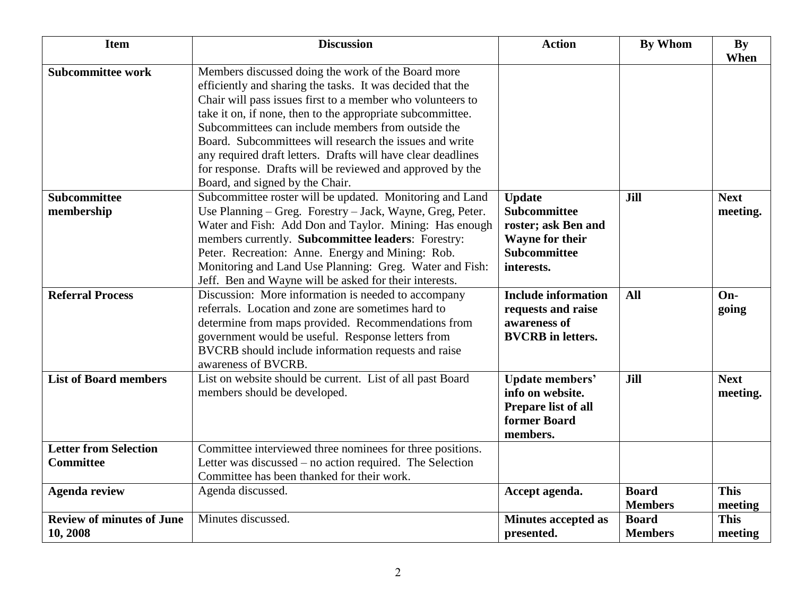| <b>Item</b>                                      | <b>Discussion</b>                                                                                                                                                                                                                                                                                                                                                                                                                                                                                                             | <b>Action</b>                                                                                                              | <b>By Whom</b>                 | By<br>When              |
|--------------------------------------------------|-------------------------------------------------------------------------------------------------------------------------------------------------------------------------------------------------------------------------------------------------------------------------------------------------------------------------------------------------------------------------------------------------------------------------------------------------------------------------------------------------------------------------------|----------------------------------------------------------------------------------------------------------------------------|--------------------------------|-------------------------|
| <b>Subcommittee work</b>                         | Members discussed doing the work of the Board more<br>efficiently and sharing the tasks. It was decided that the<br>Chair will pass issues first to a member who volunteers to<br>take it on, if none, then to the appropriate subcommittee.<br>Subcommittees can include members from outside the<br>Board. Subcommittees will research the issues and write<br>any required draft letters. Drafts will have clear deadlines<br>for response. Drafts will be reviewed and approved by the<br>Board, and signed by the Chair. |                                                                                                                            |                                |                         |
| <b>Subcommittee</b><br>membership                | Subcommittee roster will be updated. Monitoring and Land<br>Use Planning – Greg. Forestry – Jack, Wayne, Greg, Peter.<br>Water and Fish: Add Don and Taylor. Mining: Has enough<br>members currently. Subcommittee leaders: Forestry:<br>Peter. Recreation: Anne. Energy and Mining: Rob.<br>Monitoring and Land Use Planning: Greg. Water and Fish:<br>Jeff. Ben and Wayne will be asked for their interests.                                                                                                                | <b>Update</b><br><b>Subcommittee</b><br>roster; ask Ben and<br><b>Wayne for their</b><br><b>Subcommittee</b><br>interests. | Jill                           | <b>Next</b><br>meeting. |
| <b>Referral Process</b>                          | Discussion: More information is needed to accompany<br>referrals. Location and zone are sometimes hard to<br>determine from maps provided. Recommendations from<br>government would be useful. Response letters from<br>BVCRB should include information requests and raise<br>awareness of BVCRB.                                                                                                                                                                                                                            | <b>Include information</b><br>requests and raise<br>awareness of<br><b>BVCRB</b> in letters.                               | All                            | On-<br>going            |
| <b>List of Board members</b>                     | List on website should be current. List of all past Board<br>members should be developed.                                                                                                                                                                                                                                                                                                                                                                                                                                     | <b>Update members'</b><br>info on website.<br>Prepare list of all<br>former Board<br>members.                              | Jill                           | <b>Next</b><br>meeting. |
| <b>Letter from Selection</b><br><b>Committee</b> | Committee interviewed three nominees for three positions.<br>Letter was discussed – no action required. The Selection<br>Committee has been thanked for their work.                                                                                                                                                                                                                                                                                                                                                           |                                                                                                                            |                                |                         |
| <b>Agenda review</b>                             | Agenda discussed.                                                                                                                                                                                                                                                                                                                                                                                                                                                                                                             | Accept agenda.                                                                                                             | <b>Board</b><br><b>Members</b> | <b>This</b><br>meeting  |
| <b>Review of minutes of June</b><br>10, 2008     | Minutes discussed.                                                                                                                                                                                                                                                                                                                                                                                                                                                                                                            | <b>Minutes accepted as</b><br>presented.                                                                                   | <b>Board</b><br><b>Members</b> | <b>This</b><br>meeting  |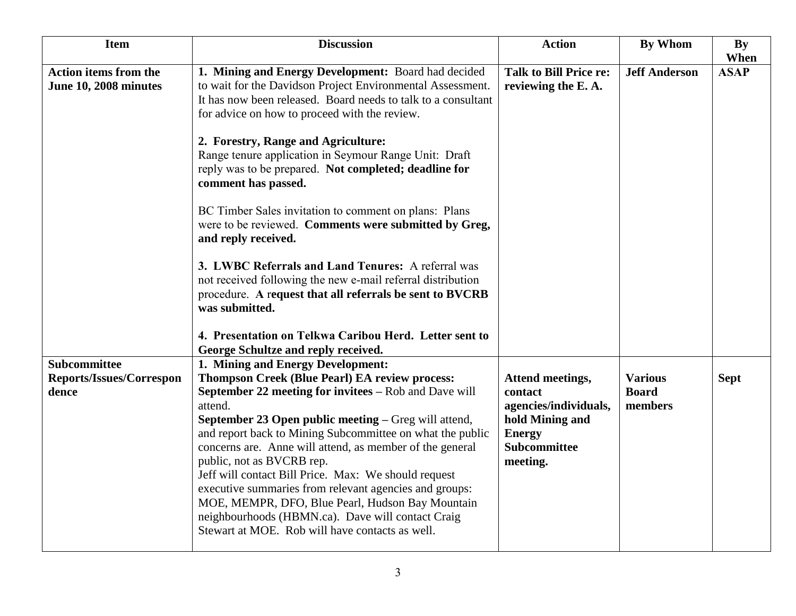| <b>Item</b>                                              | <b>Discussion</b>                                                                                                                                                                                                                                                                                                                                                                                                                                                                                                                                                                                                                                                                                                                                                                                                                                                | <b>Action</b>                                                                                                        | <b>By Whom</b>                            | By<br>When  |
|----------------------------------------------------------|------------------------------------------------------------------------------------------------------------------------------------------------------------------------------------------------------------------------------------------------------------------------------------------------------------------------------------------------------------------------------------------------------------------------------------------------------------------------------------------------------------------------------------------------------------------------------------------------------------------------------------------------------------------------------------------------------------------------------------------------------------------------------------------------------------------------------------------------------------------|----------------------------------------------------------------------------------------------------------------------|-------------------------------------------|-------------|
| <b>Action items from the</b><br>June 10, 2008 minutes    | 1. Mining and Energy Development: Board had decided<br>to wait for the Davidson Project Environmental Assessment.<br>It has now been released. Board needs to talk to a consultant<br>for advice on how to proceed with the review.<br>2. Forestry, Range and Agriculture:<br>Range tenure application in Seymour Range Unit: Draft<br>reply was to be prepared. Not completed; deadline for<br>comment has passed.<br>BC Timber Sales invitation to comment on plans: Plans<br>were to be reviewed. Comments were submitted by Greg,<br>and reply received.<br>3. LWBC Referrals and Land Tenures: A referral was<br>not received following the new e-mail referral distribution<br>procedure. A request that all referrals be sent to BVCRB<br>was submitted.<br>4. Presentation on Telkwa Caribou Herd. Letter sent to<br>George Schultze and reply received. | <b>Talk to Bill Price re:</b><br>reviewing the E.A.                                                                  | <b>Jeff Anderson</b>                      | <b>ASAP</b> |
| <b>Subcommittee</b><br>Reports/Issues/Correspon<br>dence | 1. Mining and Energy Development:<br><b>Thompson Creek (Blue Pearl) EA review process:</b><br>September 22 meeting for invitees - Rob and Dave will<br>attend.<br>September 23 Open public meeting - Greg will attend,<br>and report back to Mining Subcommittee on what the public<br>concerns are. Anne will attend, as member of the general<br>public, not as BVCRB rep.<br>Jeff will contact Bill Price. Max: We should request<br>executive summaries from relevant agencies and groups:<br>MOE, MEMPR, DFO, Blue Pearl, Hudson Bay Mountain<br>neighbourhoods (HBMN.ca). Dave will contact Craig<br>Stewart at MOE. Rob will have contacts as well.                                                                                                                                                                                                       | Attend meetings,<br>contact<br>agencies/individuals,<br>hold Mining and<br><b>Energy</b><br>Subcommittee<br>meeting. | <b>Various</b><br><b>Board</b><br>members | <b>Sept</b> |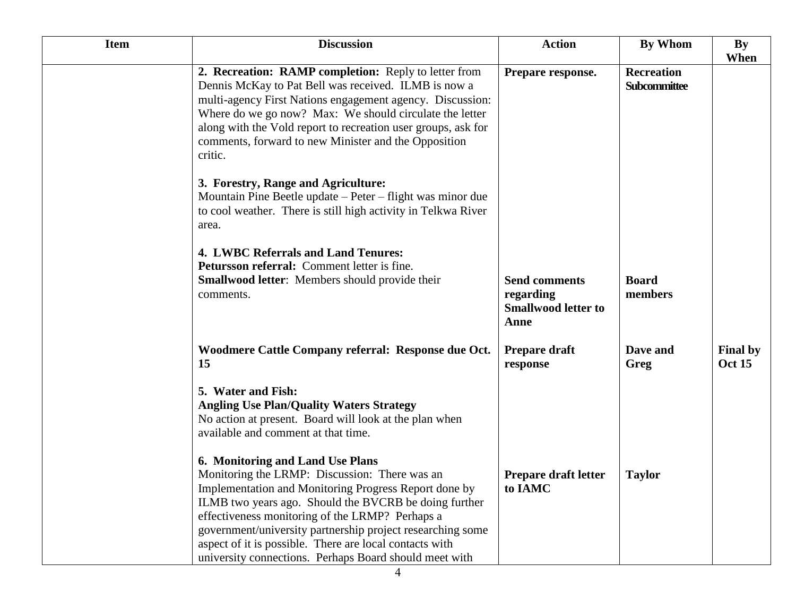| <b>Item</b> | <b>Discussion</b>                                                                                                                                                                                                                                                                                                                                                                                                                         | <b>Action</b>                                                           | <b>By Whom</b>                    | By<br>When                       |
|-------------|-------------------------------------------------------------------------------------------------------------------------------------------------------------------------------------------------------------------------------------------------------------------------------------------------------------------------------------------------------------------------------------------------------------------------------------------|-------------------------------------------------------------------------|-----------------------------------|----------------------------------|
|             | 2. Recreation: RAMP completion: Reply to letter from<br>Dennis McKay to Pat Bell was received. ILMB is now a<br>multi-agency First Nations engagement agency. Discussion:<br>Where do we go now? Max: We should circulate the letter<br>along with the Vold report to recreation user groups, ask for<br>comments, forward to new Minister and the Opposition<br>critic.                                                                  | Prepare response.                                                       | <b>Recreation</b><br>Subcommittee |                                  |
|             | 3. Forestry, Range and Agriculture:<br>Mountain Pine Beetle update – Peter – flight was minor due<br>to cool weather. There is still high activity in Telkwa River<br>area.                                                                                                                                                                                                                                                               |                                                                         |                                   |                                  |
|             | 4. LWBC Referrals and Land Tenures:<br>Petursson referral: Comment letter is fine.<br>Smallwood letter: Members should provide their<br>comments.                                                                                                                                                                                                                                                                                         | <b>Send comments</b><br>regarding<br><b>Smallwood letter to</b><br>Anne | <b>Board</b><br>members           |                                  |
|             | Woodmere Cattle Company referral: Response due Oct.<br>15                                                                                                                                                                                                                                                                                                                                                                                 | Prepare draft<br>response                                               | Dave and<br>Greg                  | <b>Final by</b><br><b>Oct 15</b> |
|             | 5. Water and Fish:<br><b>Angling Use Plan/Quality Waters Strategy</b><br>No action at present. Board will look at the plan when<br>available and comment at that time.                                                                                                                                                                                                                                                                    |                                                                         |                                   |                                  |
|             | 6. Monitoring and Land Use Plans<br>Monitoring the LRMP: Discussion: There was an<br>Implementation and Monitoring Progress Report done by<br>ILMB two years ago. Should the BVCRB be doing further<br>effectiveness monitoring of the LRMP? Perhaps a<br>government/university partnership project researching some<br>aspect of it is possible. There are local contacts with<br>university connections. Perhaps Board should meet with | Prepare draft letter<br>to IAMC                                         | <b>Taylor</b>                     |                                  |